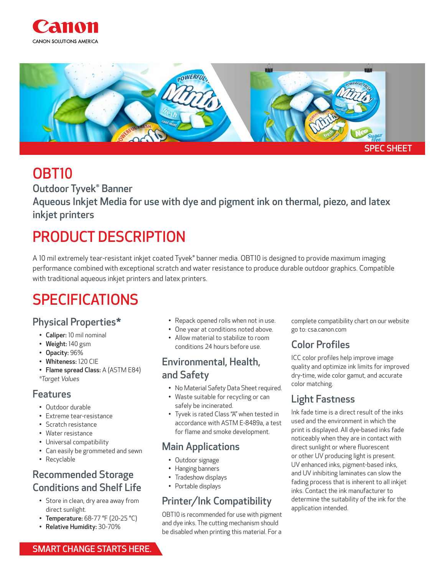



# OBT10

Outdoor Tyvek® Banner

Aqueous Inkjet Media for use with dye and pigment ink on thermal, piezo, and latex inkjet printers

# PRODUCT DESCRIPTION

A 10 mil extremely tear-resistant inkjet coated Tyvek® banner media. OBT10 is designed to provide maximum imaging performance combined with exceptional scratch and water resistance to produce durable outdoor graphics. Compatible with traditional aqueous inkjet printers and latex printers.

# SPECIFICATIONS

### Physical Properties\*

- Caliper: 10 mil nominal
- Weight: 140 gsm
- Opacity: 96%
- Whiteness: 120 CIE
- Flame spread Class: A (ASTM E84) *\*Target Values*

#### Features

- Outdoor durable
- Extreme tear-resistance
- Scratch resistance
- Water resistance
- Universal compatibility
- Can easily be grommeted and sewn
- Recyclable

## Recommended Storage Conditions and Shelf Life

- Store in clean, dry area away from direct sunlight.
- Temperature: 68-77 °F (20-25 °C)
- Relative Humidity: 30-70%
- Repack opened rolls when not in use.
- One year at conditions noted above.
- Allow material to stabilize to room conditions 24 hours before use.

## Environmental, Health, and Safety

- No Material Safety Data Sheet required.
- Waste suitable for recycling or can safely be incinerated.
- Tyvek is rated Class "A" when tested in accordance with ASTM E-8489a, a test for flame and smoke development.

## Main Applications

- Outdoor signage
- Hanging banners
- Tradeshow displays
- Portable displays

## Printer/Ink Compatibility

OBT10 is recommended for use with pigment and dye inks. The cutting mechanism should be disabled when printing this material. For a

complete compatibility chart on our website go to: csa.canon.com

# Color Profiles

ICC color profiles help improve image quality and optimize ink limits for improved dry-time, wide color gamut, and accurate color matching.

# Light Fastness

Ink fade time is a direct result of the inks used and the environment in which the print is displayed. All dye-based inks fade noticeably when they are in contact with direct sunlight or where fluorescent or other UV producing light is present. UV enhanced inks, pigment-based inks, and UV inhibiting laminates can slow the fading process that is inherent to all inkjet inks. Contact the ink manufacturer to determine the suitability of the ink for the application intended.